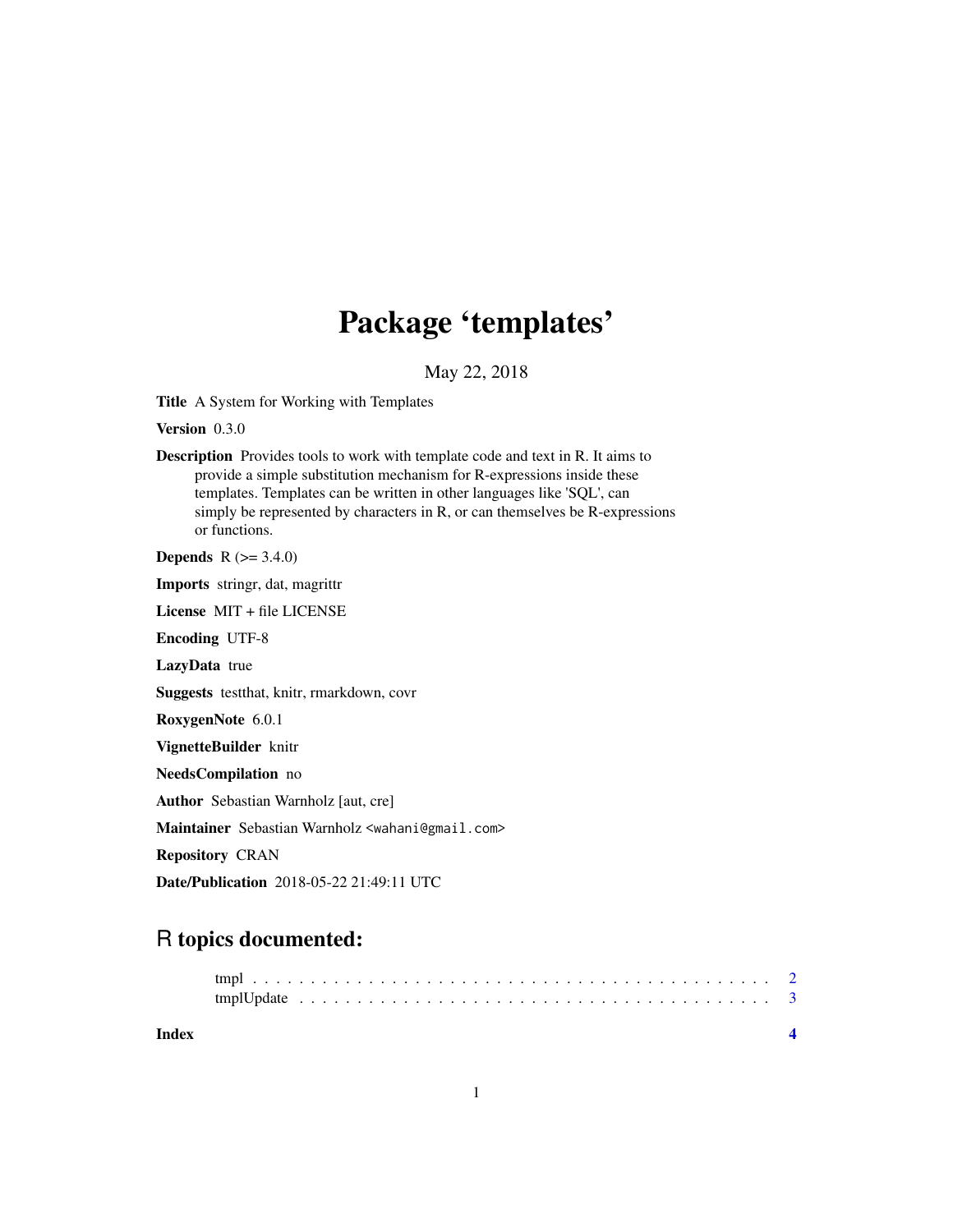## Package 'templates'

May 22, 2018

Title A System for Working with Templates

Version 0.3.0

Description Provides tools to work with template code and text in R. It aims to provide a simple substitution mechanism for R-expressions inside these templates. Templates can be written in other languages like 'SQL', can simply be represented by characters in R, or can themselves be R-expressions or functions.

**Depends** R  $(>= 3.4.0)$ 

Imports stringr, dat, magrittr

License MIT + file LICENSE

Encoding UTF-8

LazyData true

Suggests testthat, knitr, rmarkdown, covr

RoxygenNote 6.0.1

VignetteBuilder knitr

NeedsCompilation no

Author Sebastian Warnholz [aut, cre]

Maintainer Sebastian Warnholz <wahani@gmail.com>

Repository CRAN

Date/Publication 2018-05-22 21:49:11 UTC

### R topics documented: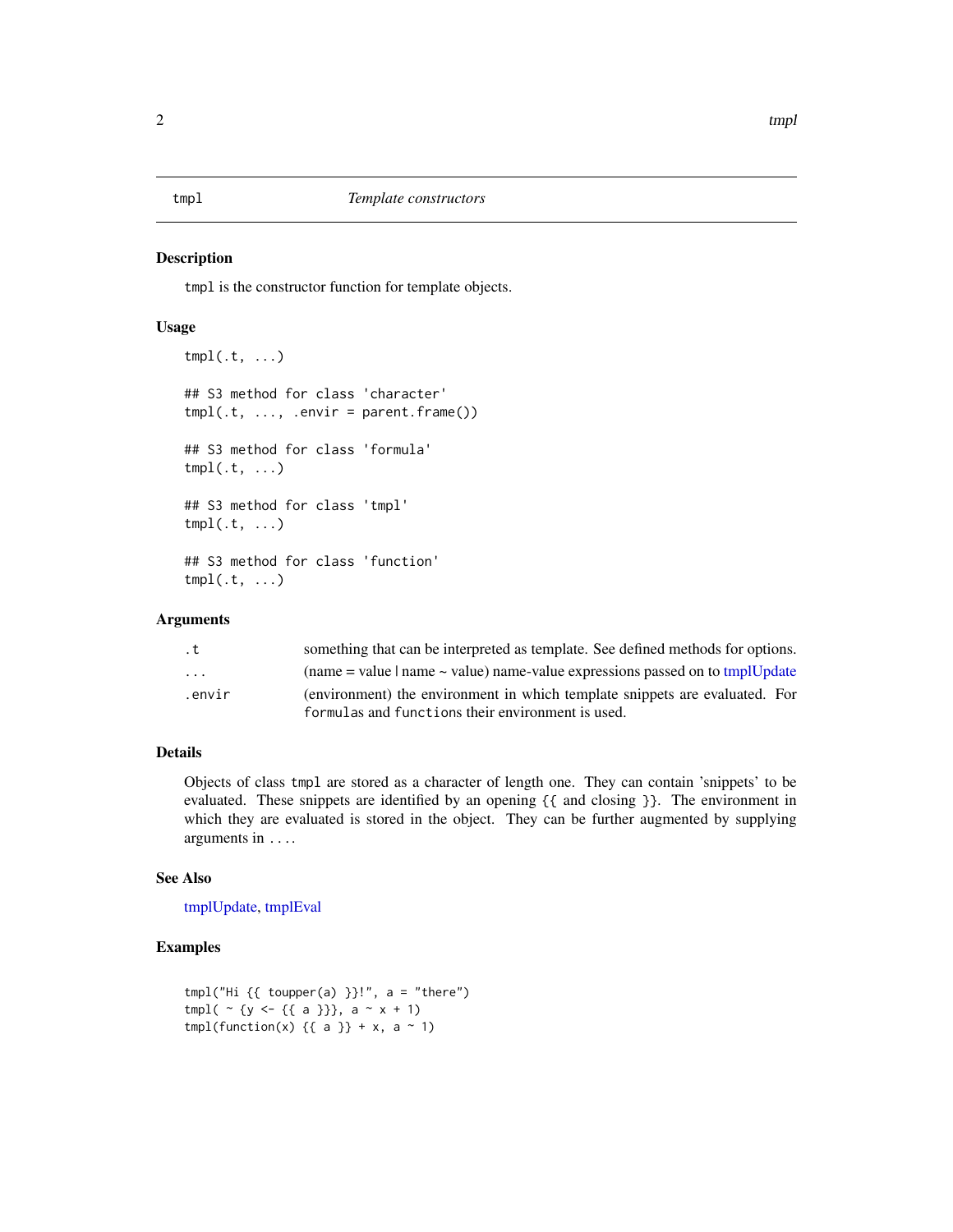### <span id="page-1-1"></span><span id="page-1-0"></span>Description

tmpl is the constructor function for template objects.

### Usage

```
tmpl(.t, ...)
## S3 method for class 'character'
tmpl(.t, ..., .envir = parent-frame())## S3 method for class 'formula'
tmpl(.t, \ldots)## S3 method for class 'tmpl'
tmpl(.t, \ldots)## S3 method for class 'function'
tmpl(.t, \ldots)
```
### Arguments

| . t                     | something that can be interpreted as template. See defined methods for options.          |
|-------------------------|------------------------------------------------------------------------------------------|
| $\cdot$ $\cdot$ $\cdot$ | (name $=$ value $\mid$ name $\sim$ value) name-value expressions passed on to tmplUpdate |
| .envir                  | (environment) the environment in which template snippets are evaluated. For              |
|                         | formulas and functions their environment is used.                                        |

### Details

Objects of class tmpl are stored as a character of length one. They can contain 'snippets' to be evaluated. These snippets are identified by an opening {{ and closing }}. The environment in which they are evaluated is stored in the object. They can be further augmented by supplying arguments in ....

### See Also

[tmplUpdate,](#page-2-1) [tmplEval](#page-2-2)

### Examples

```
tmpl("Hi { { toupper(a) }!", a = "there")
tmp1( \sim {y <- {{ a }}}, a \sim x + 1)
tmpl(function(x) \{ \{ a \} \} + x, a ~ 1)
```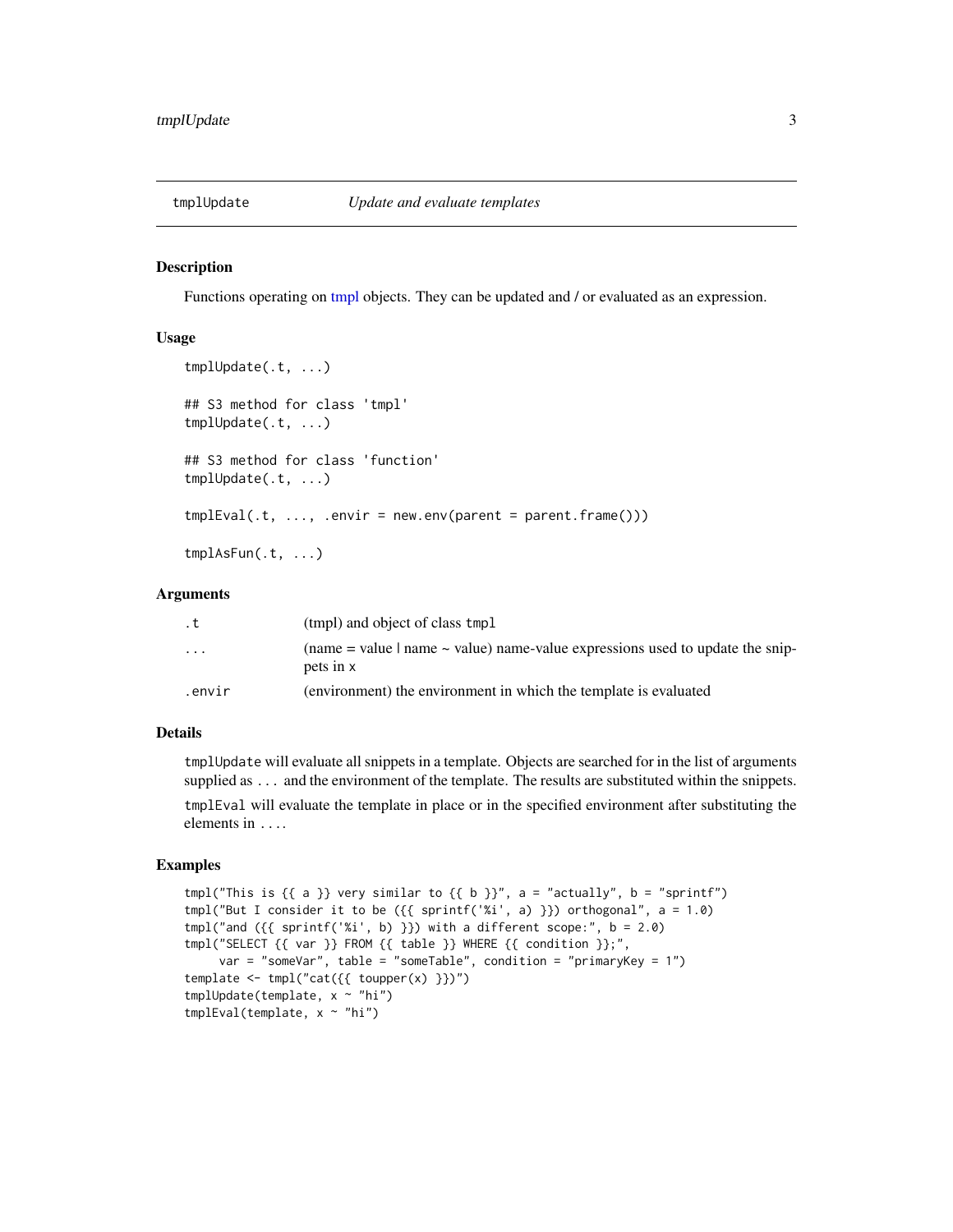<span id="page-2-1"></span><span id="page-2-0"></span>

### <span id="page-2-2"></span>Description

Functions operating on [tmpl](#page-1-1) objects. They can be updated and / or evaluated as an expression.

### Usage

```
tmplUpdate(.t, ...)
## S3 method for class 'tmpl'
tmplUpdate(.t, ...)
## S3 method for class 'function'
tmplUpdate(.t, ...)
tmplEval(t, ..., .envir = newenv(parent = parent-frame())tmplAsFun(.t, ...)
```
### Arguments

| . t                     | (tmpl) and object of class tmpl                                                                         |
|-------------------------|---------------------------------------------------------------------------------------------------------|
| $\cdot$ $\cdot$ $\cdot$ | (name $=$ value $\vert$ name $\sim$ value) name-value expressions used to update the snip-<br>pets in x |
| .envir                  | (environment) the environment in which the template is evaluated                                        |

### Details

tmplUpdate will evaluate all snippets in a template. Objects are searched for in the list of arguments supplied as ... and the environment of the template. The results are substituted within the snippets.

tmplEval will evaluate the template in place or in the specified environment after substituting the elements in ....

### Examples

```
tmpl("This is \{\{a\}\} very similar to \{\{b\}\}", a = "actually", b = "sprintf")
tmpl("But I consider it to be ({\{ sprintf('%i', a) }}) orthogonal", a = 1.0)
tmpl("and ({{} sprintf("xi', b)} ) with a different scope:", b = 2.0)tmpl("SELECT {{ var }} FROM {{ table }} WHERE {{ condition }};",
     var = "someVar", table = "someTable", condition = "primaryKey = 1")
template \leftarrow \text{tmpl("cat({f\_toupper(x) })}')tmplUpdate(template, x ~ "hi")
tmplEval(template, x ~ "hi")
```